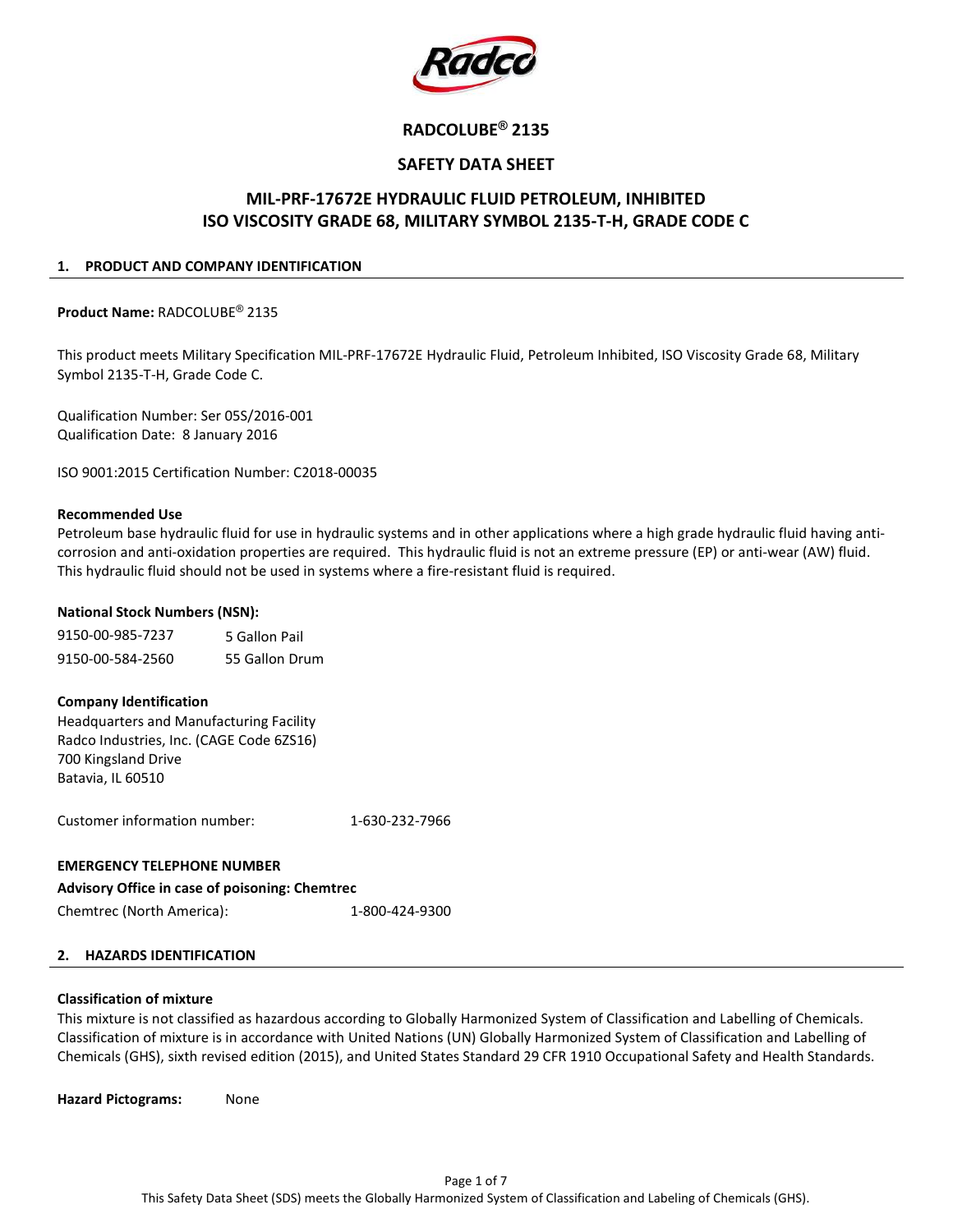

# RADCOLUBE® 2135

## SAFETY DATA SHEET

## MIL-PRF-17672E HYDRAULIC FLUID PETROLEUM, INHIBITED ISO VISCOSITY GRADE 68, MILITARY SYMBOL 2135-T-H, GRADE CODE C

#### 1. PRODUCT AND COMPANY IDENTIFICATION

Product Name: RADCOLUBE® 2135

This product meets Military Specification MIL-PRF-17672E Hydraulic Fluid, Petroleum Inhibited, ISO Viscosity Grade 68, Military Symbol 2135-T-H, Grade Code C.

Qualification Number: Ser 05S/2016-001 Qualification Date: 8 January 2016

ISO 9001:2015 Certification Number: C2018-00035

#### Recommended Use

Petroleum base hydraulic fluid for use in hydraulic systems and in other applications where a high grade hydraulic fluid having anticorrosion and anti-oxidation properties are required. This hydraulic fluid is not an extreme pressure (EP) or anti-wear (AW) fluid. This hydraulic fluid should not be used in systems where a fire-resistant fluid is required.

#### National Stock Numbers (NSN):

| 9150-00-985-7237 | 5 Gallon Pail  |
|------------------|----------------|
| 9150-00-584-2560 | 55 Gallon Drum |

#### Company Identification

Headquarters and Manufacturing Facility Radco Industries, Inc. (CAGE Code 6ZS16) 700 Kingsland Drive Batavia, IL 60510

Customer information number: 1-630-232-7966

## EMERGENCY TELEPHONE NUMBER

| <b>Advisory Office in case of poisoning: Chemtrec</b> |                |
|-------------------------------------------------------|----------------|
| Chemtrec (North America):                             | 1-800-424-9300 |

#### 2. HAZARDS IDENTIFICATION

## Classification of mixture

This mixture is not classified as hazardous according to Globally Harmonized System of Classification and Labelling of Chemicals. Classification of mixture is in accordance with United Nations (UN) Globally Harmonized System of Classification and Labelling of Chemicals (GHS), sixth revised edition (2015), and United States Standard 29 CFR 1910 Occupational Safety and Health Standards.

Hazard Pictograms: None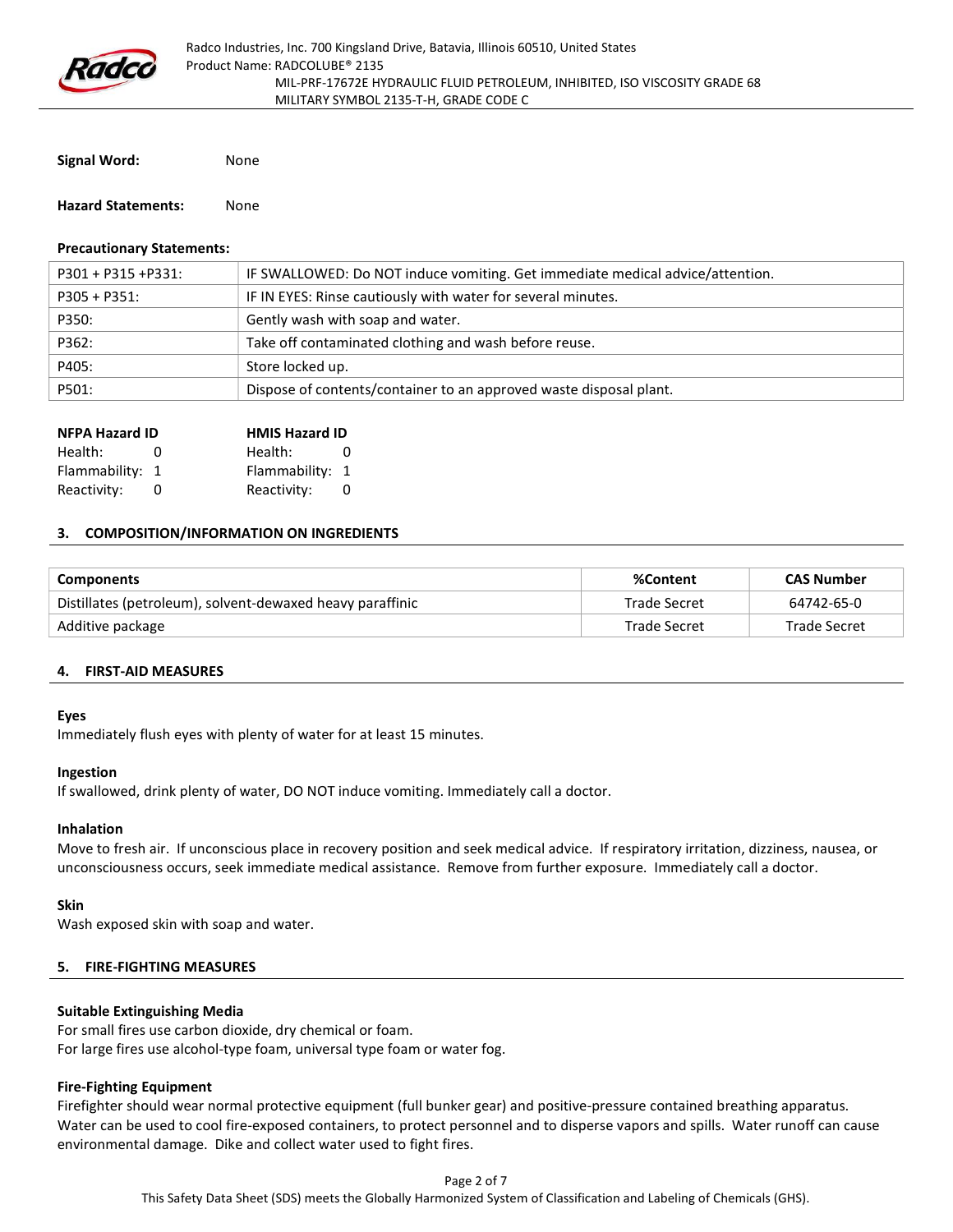

Signal Word: None

Hazard Statements: None

#### Precautionary Statements:

| $P301 + P315 + P331$ : | IF SWALLOWED: Do NOT induce vomiting. Get immediate medical advice/attention. |
|------------------------|-------------------------------------------------------------------------------|
| $P305 + P351$ :        | IF IN EYES: Rinse cautiously with water for several minutes.                  |
| P350:                  | Gently wash with soap and water.                                              |
| P362:                  | Take off contaminated clothing and wash before reuse.                         |
| P405:                  | Store locked up.                                                              |
| P501:                  | Dispose of contents/container to an approved waste disposal plant.            |

| <b>NFPA Hazard ID</b> |   | <b>HMIS Hazard ID</b> |            |  |
|-----------------------|---|-----------------------|------------|--|
| Health:               | O | Health:               | $^{\circ}$ |  |
| Flammability: 1       |   | Flammability: 1       |            |  |
| Reactivity:           |   | Reactivity:           |            |  |

#### 3. COMPOSITION/INFORMATION ON INGREDIENTS

| <b>Components</b>                                         | %Content     | <b>CAS Number</b>   |
|-----------------------------------------------------------|--------------|---------------------|
| Distillates (petroleum), solvent-dewaxed heavy paraffinic | Trade Secret | 64742-65-0          |
| Additive package                                          | Trade Secret | <b>Trade Secret</b> |

#### 4. FIRST-AID MEASURES

#### Eyes

Immediately flush eyes with plenty of water for at least 15 minutes.

#### Ingestion

If swallowed, drink plenty of water, DO NOT induce vomiting. Immediately call a doctor.

#### Inhalation

Move to fresh air. If unconscious place in recovery position and seek medical advice. If respiratory irritation, dizziness, nausea, or unconsciousness occurs, seek immediate medical assistance. Remove from further exposure. Immediately call a doctor.

#### Skin

Wash exposed skin with soap and water.

#### 5. FIRE-FIGHTING MEASURES

#### Suitable Extinguishing Media

For small fires use carbon dioxide, dry chemical or foam. For large fires use alcohol-type foam, universal type foam or water fog.

## Fire-Fighting Equipment

Firefighter should wear normal protective equipment (full bunker gear) and positive-pressure contained breathing apparatus. Water can be used to cool fire-exposed containers, to protect personnel and to disperse vapors and spills. Water runoff can cause environmental damage. Dike and collect water used to fight fires.

This Safety Data Sheet (SDS) meets the Globally Harmonized System of Classification and Labeling of Chemicals (GHS).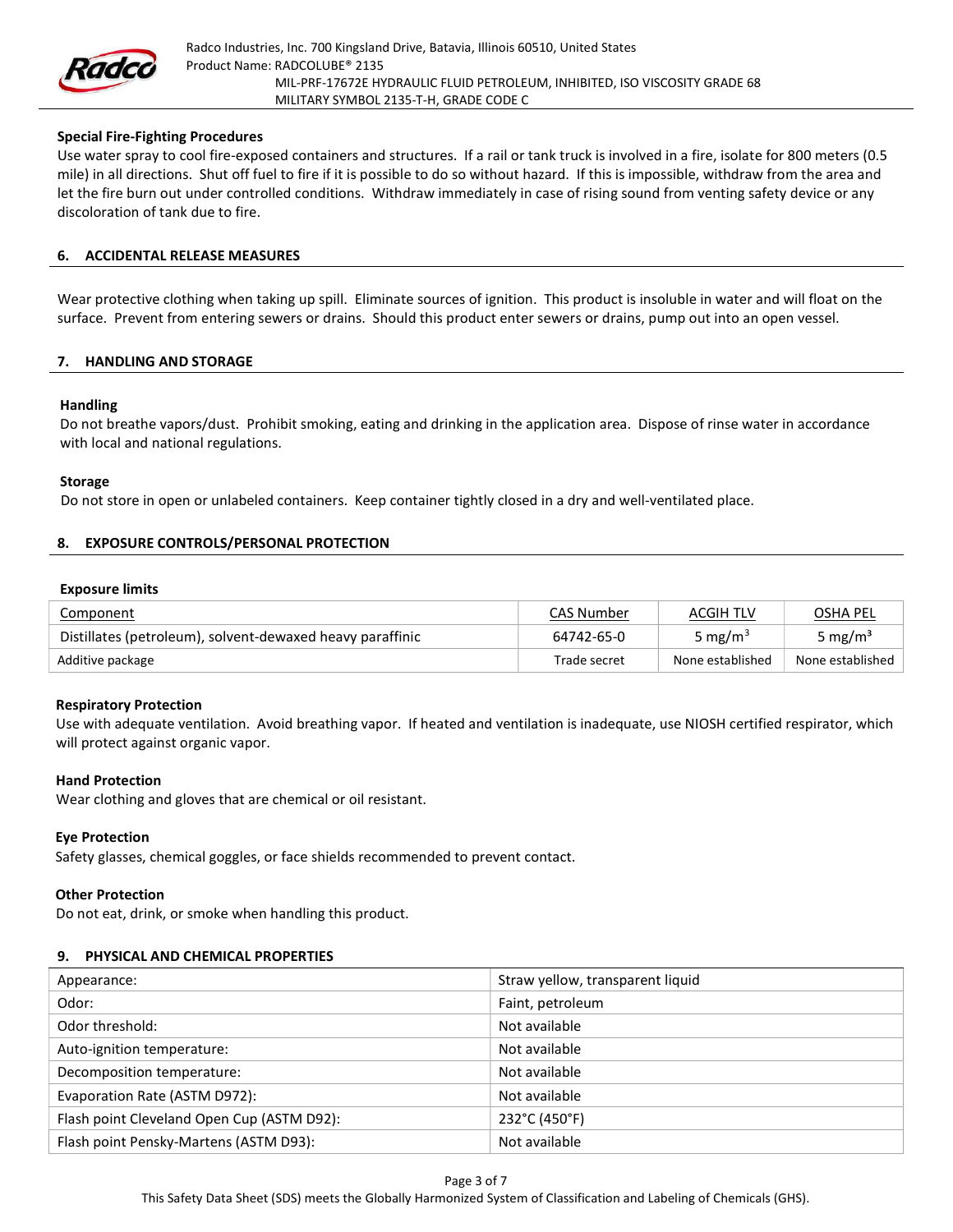

#### Special Fire-Fighting Procedures

Use water spray to cool fire-exposed containers and structures. If a rail or tank truck is involved in a fire, isolate for 800 meters (0.5 mile) in all directions. Shut off fuel to fire if it is possible to do so without hazard. If this is impossible, withdraw from the area and let the fire burn out under controlled conditions. Withdraw immediately in case of rising sound from venting safety device or any discoloration of tank due to fire.

#### 6. ACCIDENTAL RELEASE MEASURES

Wear protective clothing when taking up spill. Eliminate sources of ignition. This product is insoluble in water and will float on the surface. Prevent from entering sewers or drains. Should this product enter sewers or drains, pump out into an open vessel.

#### 7. HANDLING AND STORAGE

#### Handling

Do not breathe vapors/dust. Prohibit smoking, eating and drinking in the application area. Dispose of rinse water in accordance with local and national regulations.

#### Storage

Do not store in open or unlabeled containers. Keep container tightly closed in a dry and well-ventilated place.

#### 8. EXPOSURE CONTROLS/PERSONAL PROTECTION

#### Exposure limits

| Component                                                 | <b>CAS Number</b> | ACGIH TLV           | <b>OSHA PEL</b>     |
|-----------------------------------------------------------|-------------------|---------------------|---------------------|
| Distillates (petroleum), solvent-dewaxed heavy paraffinic | 64742-65-0        | 5 mg/m <sup>3</sup> | 5 mg/m <sup>3</sup> |
| Additive package                                          | Trade secret      | None established    | None established    |

#### Respiratory Protection

Use with adequate ventilation. Avoid breathing vapor. If heated and ventilation is inadequate, use NIOSH certified respirator, which will protect against organic vapor.

#### Hand Protection

Wear clothing and gloves that are chemical or oil resistant.

#### Eye Protection

Safety glasses, chemical goggles, or face shields recommended to prevent contact.

## Other Protection

Do not eat, drink, or smoke when handling this product.

## 9. PHYSICAL AND CHEMICAL PROPERTIES

| Appearance:                                | Straw yellow, transparent liquid |
|--------------------------------------------|----------------------------------|
| Odor:                                      | Faint, petroleum                 |
| Odor threshold:                            | Not available                    |
| Auto-ignition temperature:                 | Not available                    |
| Decomposition temperature:                 | Not available                    |
| Evaporation Rate (ASTM D972):              | Not available                    |
| Flash point Cleveland Open Cup (ASTM D92): | 232°C (450°F)                    |
| Flash point Pensky-Martens (ASTM D93):     | Not available                    |

This Safety Data Sheet (SDS) meets the Globally Harmonized System of Classification and Labeling of Chemicals (GHS).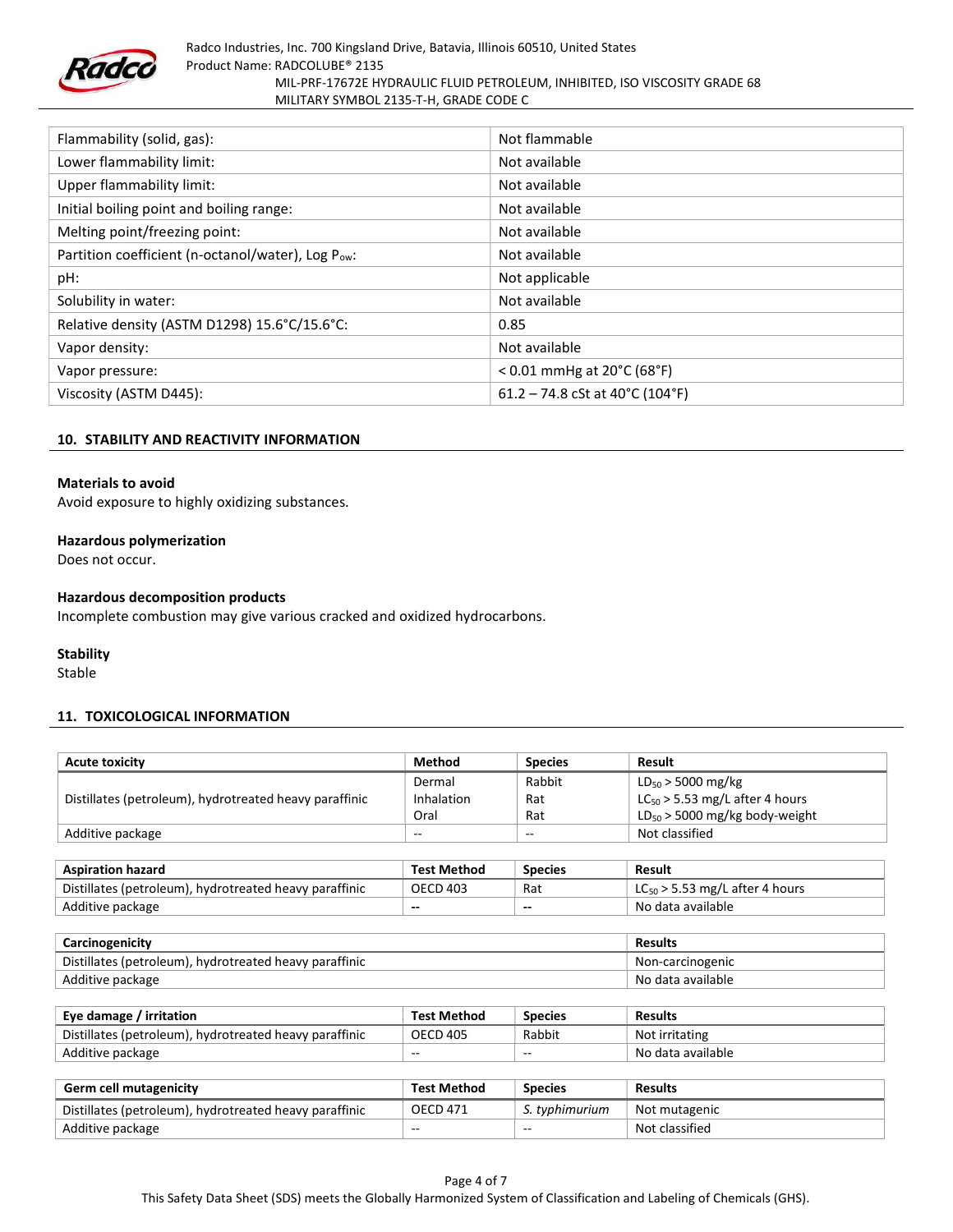

| Flammability (solid, gas):                        | Not flammable                   |
|---------------------------------------------------|---------------------------------|
| Lower flammability limit:                         | Not available                   |
| <b>Upper flammability limit:</b>                  | Not available                   |
| Initial boiling point and boiling range:          | Not available                   |
| Melting point/freezing point:                     | Not available                   |
| Partition coefficient (n-octanol/water), Log Pow: | Not available                   |
| pH:                                               | Not applicable                  |
| Solubility in water:                              | Not available                   |
| Relative density (ASTM D1298) 15.6°C/15.6°C:      | 0.85                            |
| Vapor density:                                    | Not available                   |
| Vapor pressure:                                   | < 0.01 mmHg at 20°C (68°F)      |
| Viscosity (ASTM D445):                            | 61.2 – 74.8 cSt at 40°C (104°F) |

#### 10. STABILITY AND REACTIVITY INFORMATION

#### Materials to avoid

Avoid exposure to highly oxidizing substances.

#### Hazardous polymerization

Does not occur.

#### Hazardous decomposition products

Incomplete combustion may give various cracked and oxidized hydrocarbons.

#### **Stability**

Stable

#### 11. TOXICOLOGICAL INFORMATION

| <b>Acute toxicity</b>                                  | <b>Method</b>      | <b>Species</b>           | Result                              |
|--------------------------------------------------------|--------------------|--------------------------|-------------------------------------|
|                                                        | Dermal             | Rabbit                   | $LD_{50}$ > 5000 mg/kg              |
| Distillates (petroleum), hydrotreated heavy paraffinic | Inhalation         | Rat                      | $LC_{50}$ > 5.53 mg/L after 4 hours |
|                                                        | Oral               | Rat                      | $LD_{50}$ > 5000 mg/kg body-weight  |
| Additive package                                       | $- -$              | $- -$                    | Not classified                      |
|                                                        |                    |                          |                                     |
| <b>Aspiration hazard</b>                               | <b>Test Method</b> | <b>Species</b>           | Result                              |
| Distillates (petroleum), hydrotreated heavy paraffinic | <b>OECD 403</b>    | Rat                      | $LC_{50}$ > 5.53 mg/L after 4 hours |
| Additive package                                       | --                 | $\overline{\phantom{a}}$ | No data available                   |
|                                                        |                    |                          |                                     |
| Carcinogenicity                                        |                    |                          | <b>Results</b>                      |
| Distillates (petroleum), hydrotreated heavy paraffinic |                    |                          | Non-carcinogenic                    |
| Additive package                                       |                    |                          | No data available                   |
|                                                        |                    |                          |                                     |
| Eye damage / irritation                                | <b>Test Method</b> | <b>Species</b>           | <b>Results</b>                      |
| Distillates (petroleum), hydrotreated heavy paraffinic | <b>OECD 405</b>    | Rabbit                   | Not irritating                      |
| Additive package                                       | $- -$              | $-$                      | No data available                   |
|                                                        |                    |                          |                                     |
| Germ cell mutagenicity                                 | <b>Test Method</b> | <b>Species</b>           | Results                             |

| <b>Germ cell mutagenicity</b>                          | <b>Test Method</b> | <b>Species</b> | <b>Results</b> |
|--------------------------------------------------------|--------------------|----------------|----------------|
| Distillates (petroleum), hydrotreated heavy paraffinic | <b>OECD 471</b>    | S. typhimurium | Not mutagenic  |
| Additive package                                       | $- -$              | $- -$          | Not classified |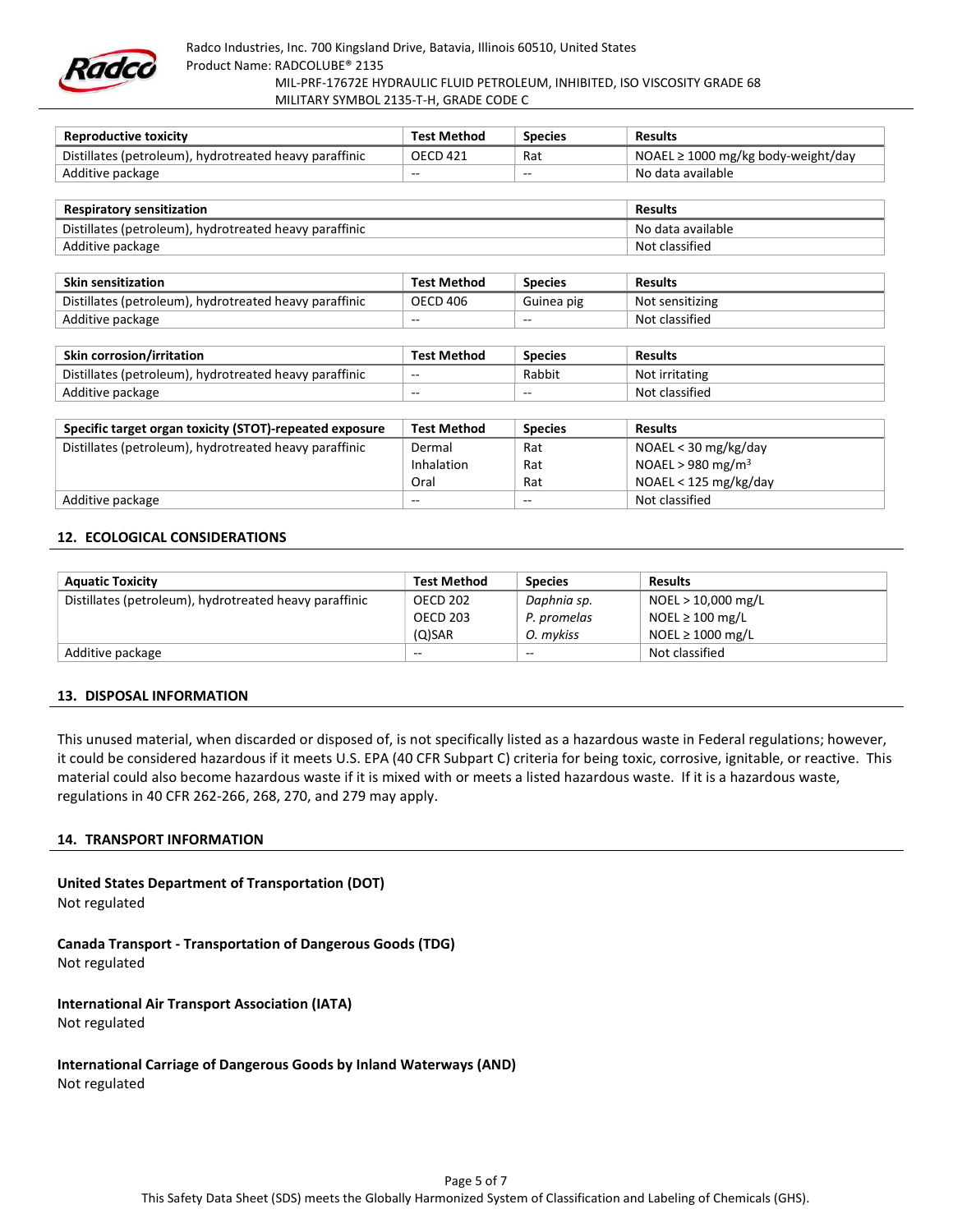

| Reproductive toxicity                                  | <b>Test Method</b> | <b>Species</b> | <b>Results</b>                          |
|--------------------------------------------------------|--------------------|----------------|-----------------------------------------|
| Distillates (petroleum), hydrotreated heavy paraffinic | <b>OECD 421</b>    | Rat            | NOAEL $\geq$ 1000 mg/kg body-weight/day |
| Additive package                                       | $- -$              | $- -$          | No data available                       |

| <b>Respiratory sensitization</b>                       | Results           |
|--------------------------------------------------------|-------------------|
| Distillates (petroleum), hydrotreated heavy paraffinic | No data available |
| Additive package                                       | Not classified    |

| <b>Skin sensitization</b>                              | Test Method     | <b>Species</b> | <b>Results</b>  |
|--------------------------------------------------------|-----------------|----------------|-----------------|
| Distillates (petroleum), hydrotreated heavy paraffinic | <b>OECD 406</b> | Guinea pig     | Not sensitizing |
| Additive package                                       | $- -$           | $- -$          | Not classified  |

| <b>Skin corrosion/irritation</b>                       | <b>Test Method</b>       | <b>Species</b> | Results        |
|--------------------------------------------------------|--------------------------|----------------|----------------|
| Distillates (petroleum), hydrotreated heavy paraffinic | $\overline{\phantom{a}}$ | Rabbiu         | Not irritating |
| Additive package                                       | $- -$                    | $- -$          | Not classified |

| Specific target organ toxicity (STOT)-repeated exposure | <b>Test Method</b> | <b>Species</b> | <b>Results</b>                |
|---------------------------------------------------------|--------------------|----------------|-------------------------------|
| Distillates (petroleum), hydrotreated heavy paraffinic  | Dermal             | Rat            | NOAEL < 30 mg/kg/day          |
|                                                         | Inhalation         | Rat            | NOAEL > 980 mg/m <sup>3</sup> |
|                                                         | Oral               | Rat            | NOAEL < 125 mg/kg/day         |
| Additive package                                        | $- -$              | $-$            | Not classified                |

#### 12. ECOLOGICAL CONSIDERATIONS

| <b>Aquatic Toxicity</b>                                | <b>Test Method</b> | <b>Species</b>           | <b>Results</b>        |
|--------------------------------------------------------|--------------------|--------------------------|-----------------------|
| Distillates (petroleum), hydrotreated heavy paraffinic | OECD 202           | Daphnia sp.              | NOEL > 10,000 mg/L    |
|                                                        | <b>OECD 203</b>    | P. promelas              | NOEL $\geq 100$ mg/L  |
|                                                        | $(O)$ SAR          | O. mykiss                | NOEL $\geq 1000$ mg/L |
| Additive package                                       | $-$                | $\overline{\phantom{a}}$ | Not classified        |

#### 13. DISPOSAL INFORMATION

This unused material, when discarded or disposed of, is not specifically listed as a hazardous waste in Federal regulations; however, it could be considered hazardous if it meets U.S. EPA (40 CFR Subpart C) criteria for being toxic, corrosive, ignitable, or reactive. This material could also become hazardous waste if it is mixed with or meets a listed hazardous waste. If it is a hazardous waste, regulations in 40 CFR 262-266, 268, 270, and 279 may apply.

#### 14. TRANSPORT INFORMATION

United States Department of Transportation (DOT) Not regulated Canada Transport - Transportation of Dangerous Goods (TDG)

Not regulated

International Air Transport Association (IATA) Not regulated

International Carriage of Dangerous Goods by Inland Waterways (AND) Not regulated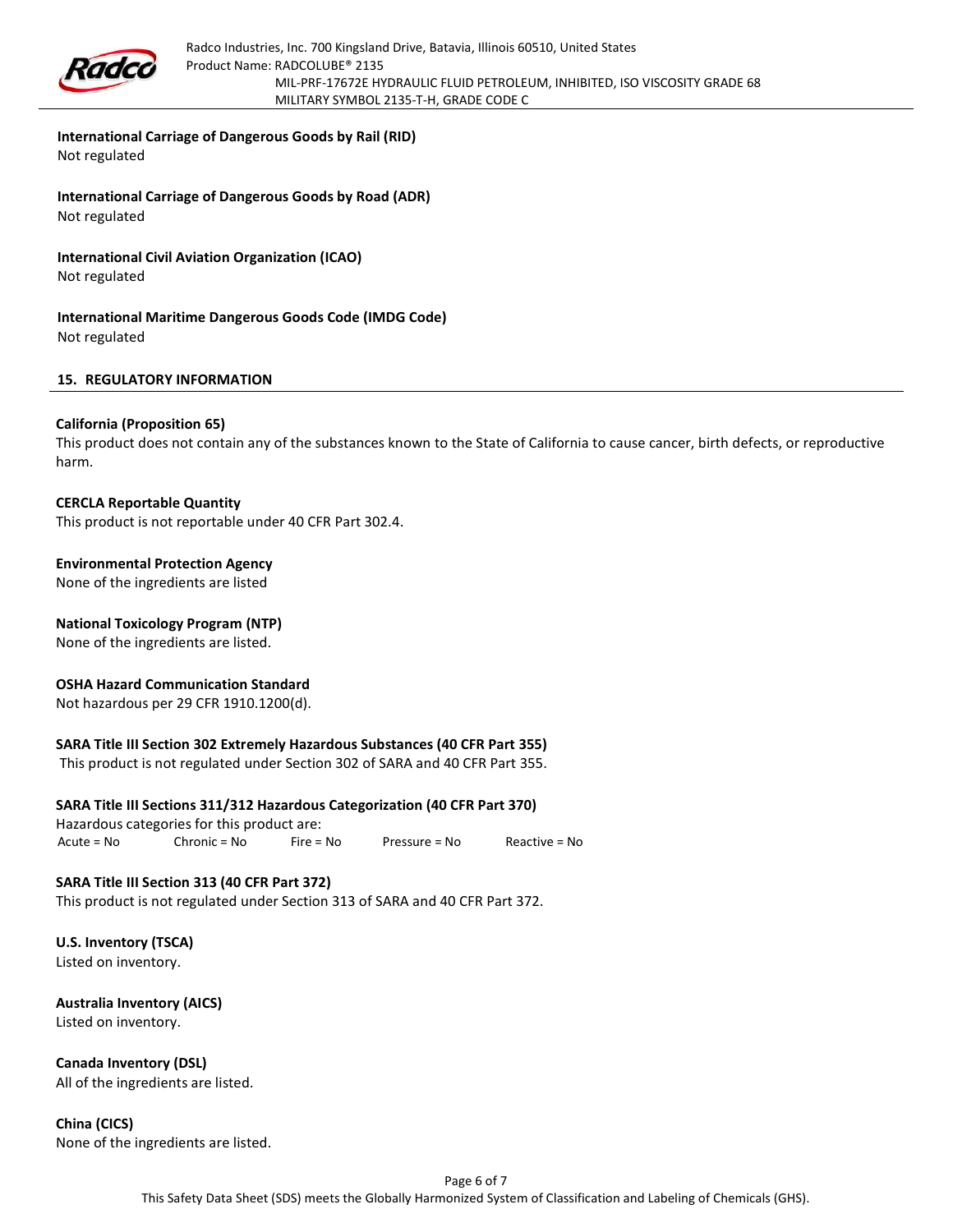

#### International Carriage of Dangerous Goods by Rail (RID)

Not regulated

International Carriage of Dangerous Goods by Road (ADR) Not regulated

International Civil Aviation Organization (ICAO) Not regulated

International Maritime Dangerous Goods Code (IMDG Code) Not regulated

#### 15. REGULATORY INFORMATION

#### California (Proposition 65)

This product does not contain any of the substances known to the State of California to cause cancer, birth defects, or reproductive harm.

CERCLA Reportable Quantity This product is not reportable under 40 CFR Part 302.4.

Environmental Protection Agency None of the ingredients are listed

## National Toxicology Program (NTP)

None of the ingredients are listed.

#### OSHA Hazard Communication Standard

Not hazardous per 29 CFR 1910.1200(d).

## SARA Title III Section 302 Extremely Hazardous Substances (40 CFR Part 355)

This product is not regulated under Section 302 of SARA and 40 CFR Part 355.

## SARA Title III Sections 311/312 Hazardous Categorization (40 CFR Part 370)

Hazardous categories for this product are: Acute = No Chronic = No Fire = No Pressure = No Reactive = No

## SARA Title III Section 313 (40 CFR Part 372)

This product is not regulated under Section 313 of SARA and 40 CFR Part 372.

U.S. Inventory (TSCA) Listed on inventory.

Australia Inventory (AICS) Listed on inventory.

Canada Inventory (DSL) All of the ingredients are listed.

China (CICS) None of the ingredients are listed.